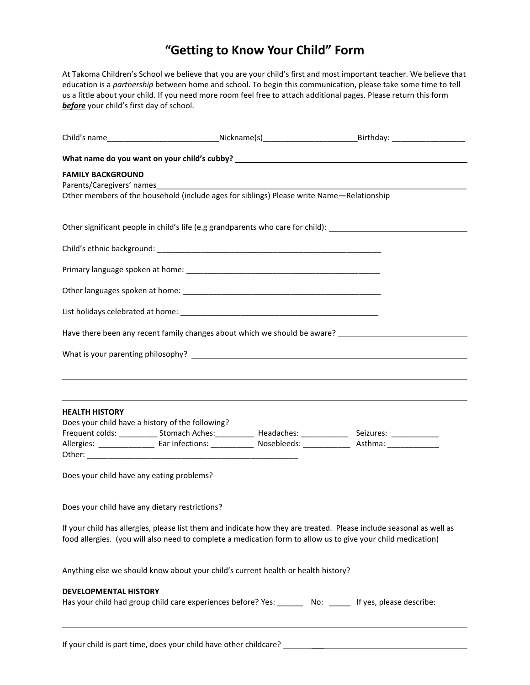## **"Getting to Know Your Child" Form**

At Takoma Children's School we believe that you are your child's first and most important teacher. We believe that education is a *partnership* between home and school. To begin this communication, please take some time to tell us a little about your child. If you need more room feel free to attach additional pages. Please return this form *before* your child's first day of school.

|                              |                                                                                           | Child's name_________________________________Nickname(s)__________________________Birthday: __________________      |
|------------------------------|-------------------------------------------------------------------------------------------|---------------------------------------------------------------------------------------------------------------------|
|                              |                                                                                           |                                                                                                                     |
| <b>FAMILY BACKGROUND</b>     |                                                                                           |                                                                                                                     |
|                              | Other members of the household (include ages for siblings) Please write Name-Relationship |                                                                                                                     |
|                              |                                                                                           | Other significant people in child's life (e.g grandparents who care for child): ______________________________      |
|                              |                                                                                           |                                                                                                                     |
|                              |                                                                                           |                                                                                                                     |
|                              |                                                                                           |                                                                                                                     |
|                              |                                                                                           |                                                                                                                     |
|                              |                                                                                           | Have there been any recent family changes about which we should be aware? __________________________                |
|                              |                                                                                           |                                                                                                                     |
|                              |                                                                                           |                                                                                                                     |
|                              |                                                                                           |                                                                                                                     |
| <b>HEALTH HISTORY</b>        | Does your child have a history of the following?                                          |                                                                                                                     |
|                              |                                                                                           |                                                                                                                     |
|                              |                                                                                           | Allergies: _________________ Ear Infections: _____________ Nosebleeds: _____________ Asthma: _____________          |
|                              |                                                                                           |                                                                                                                     |
|                              | Does your child have any eating problems?                                                 |                                                                                                                     |
|                              | Does your child have any dietary restrictions?                                            |                                                                                                                     |
|                              |                                                                                           | If your child has allergies, please list them and indicate how they are treated. Please include seasonal as well as |
|                              |                                                                                           | food allergies. (you will also need to complete a medication form to allow us to give your child medication)        |
|                              | Anything else we should know about your child's current health or health history?         |                                                                                                                     |
| <b>DEVELOPMENTAL HISTORY</b> |                                                                                           |                                                                                                                     |
|                              |                                                                                           | Has your child had group child care experiences before? Yes: ________ No: ______ If yes, please describe:           |
|                              |                                                                                           |                                                                                                                     |

If your child is part time, does your child have other childcare? \_\_\_